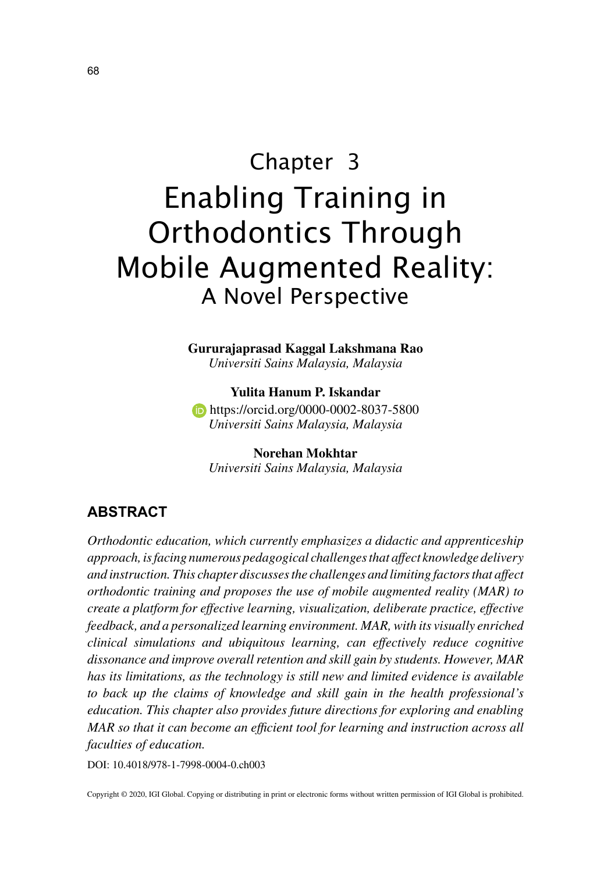# Chapter 3 Enabling Training in Orthodontics Through Mobile Augmented Reality: A Novel Perspective

**Gururajaprasad Kaggal Lakshmana Rao** *Universiti Sains Malaysia, Malaysia*

**Yulita Hanum P. Iskandar https://orcid.org/0000-0002-8037-5800** *Universiti Sains Malaysia, Malaysia*

**Norehan Mokhtar** *Universiti Sains Malaysia, Malaysia*

# **ABSTRACT**

*Orthodontic education, which currently emphasizes a didactic and apprenticeship approach, is facing numerous pedagogical challenges that affect knowledge delivery and instruction. This chapter discusses the challenges and limiting factors that affect orthodontic training and proposes the use of mobile augmented reality (MAR) to create a platform for effective learning, visualization, deliberate practice, effective feedback, and a personalized learning environment. MAR, with its visually enriched clinical simulations and ubiquitous learning, can effectively reduce cognitive dissonance and improve overall retention and skill gain by students. However, MAR has its limitations, as the technology is still new and limited evidence is available to back up the claims of knowledge and skill gain in the health professional's education. This chapter also provides future directions for exploring and enabling MAR so that it can become an efficient tool for learning and instruction across all faculties of education.*

DOI: 10.4018/978-1-7998-0004-0.ch003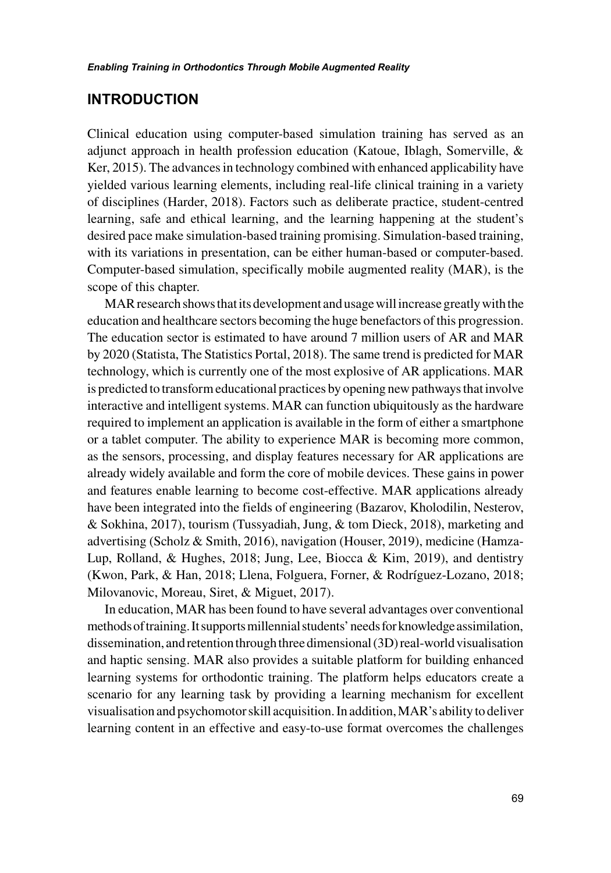## **INTRODUCTION**

Clinical education using computer-based simulation training has served as an adjunct approach in health profession education (Katoue, Iblagh, Somerville, & Ker, 2015). The advances in technology combined with enhanced applicability have yielded various learning elements, including real-life clinical training in a variety of disciplines (Harder, 2018). Factors such as deliberate practice, student-centred learning, safe and ethical learning, and the learning happening at the student's desired pace make simulation-based training promising. Simulation-based training, with its variations in presentation, can be either human-based or computer-based. Computer-based simulation, specifically mobile augmented reality (MAR), is the scope of this chapter.

MAR research shows that its development and usage will increase greatly with the education and healthcare sectors becoming the huge benefactors of this progression. The education sector is estimated to have around 7 million users of AR and MAR by 2020 (Statista, The Statistics Portal, 2018). The same trend is predicted for MAR technology, which is currently one of the most explosive of AR applications. MAR is predicted to transform educational practices by opening new pathways that involve interactive and intelligent systems. MAR can function ubiquitously as the hardware required to implement an application is available in the form of either a smartphone or a tablet computer. The ability to experience MAR is becoming more common, as the sensors, processing, and display features necessary for AR applications are already widely available and form the core of mobile devices. These gains in power and features enable learning to become cost-effective. MAR applications already have been integrated into the fields of engineering (Bazarov, Kholodilin, Nesterov, & Sokhina, 2017), tourism (Tussyadiah, Jung, & tom Dieck, 2018), marketing and advertising (Scholz & Smith, 2016), navigation (Houser, 2019), medicine (Hamza-Lup, Rolland, & Hughes, 2018; Jung, Lee, Biocca & Kim, 2019), and dentistry (Kwon, Park, & Han, 2018; Llena, Folguera, Forner, & Rodríguez‐Lozano, 2018; Milovanovic, Moreau, Siret, & Miguet, 2017).

In education, MAR has been found to have several advantages over conventional methods of training. It supports millennial students' needs for knowledge assimilation, dissemination, and retention through three dimensional (3D) real-world visualisation and haptic sensing. MAR also provides a suitable platform for building enhanced learning systems for orthodontic training. The platform helps educators create a scenario for any learning task by providing a learning mechanism for excellent visualisation and psychomotor skill acquisition. In addition, MAR's ability to deliver learning content in an effective and easy-to-use format overcomes the challenges